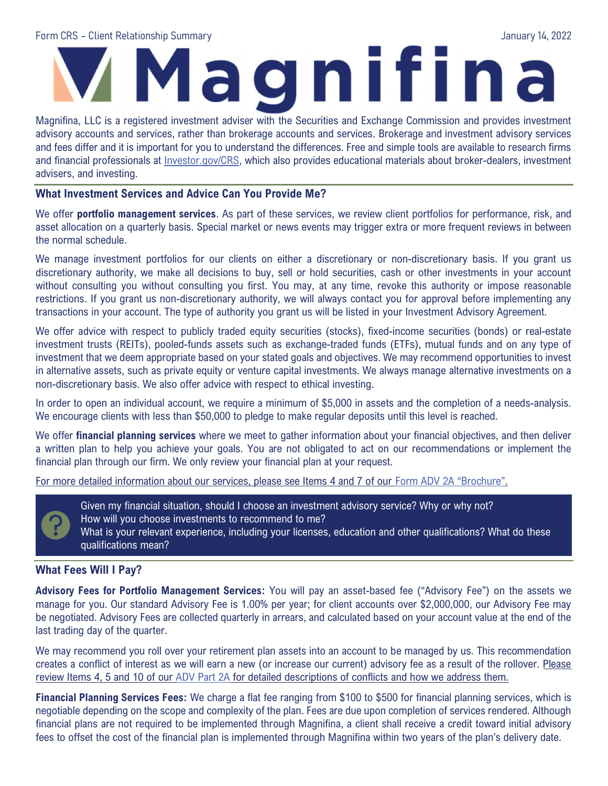# Form CRS – Client Relationship Summary January 14, 2022

Magnifina, LLC is a registered investment adviser with the Securities and Exchange Commission and provides investment advisory accounts and services, rather than brokerage accounts and services. Brokerage and investment advisory services and fees differ and it is important for you to understand the differences. Free and simple tools are available to research firms and financial professionals at Investor.gov/CRS, which also provides educational materials about broker-dealers, investment advisers, and investing.

#### What Investment Services and Advice Can You Provide Me?

We offer **portfolio management services**. As part of these services, we review client portfolios for performance, risk, and asset allocation on a quarterly basis. Special market or news events may trigger extra or more frequent reviews in between the normal schedule.

We manage investment portfolios for our clients on either a discretionary or non-discretionary basis. If you grant us discretionary authority, we make all decisions to buy, sell or hold securities, cash or other investments in your account without consulting you without consulting you first. You may, at any time, revoke this authority or impose reasonable restrictions. If you grant us non-discretionary authority, we will always contact you for approval before implementing any transactions in your account. The type of authority you grant us will be listed in your Investment Advisory Agreement.

We offer advice with respect to publicly traded equity securities (stocks), fixed-income securities (bonds) or real-estate investment trusts (REITs), pooled-funds assets such as exchange-traded funds (ETFs), mutual funds and on any type of investment that we deem appropriate based on your stated goals and objectives. We may recommend opportunities to invest in alternative assets, such as private equity or venture capital investments. We always manage alternative investments on a non-discretionary basis. We also offer advice with respect to ethical investing.

In order to open an individual account, we require a minimum of \$5,000 in assets and the completion of a needs-analysis. We encourage clients with less than \$50,000 to pledge to make regular deposits until this level is reached.

We offer financial planning services where we meet to gather information about your financial objectives, and then deliver a written plan to help you achieve your goals. You are not obligated to act on our recommendations or implement the financial plan through our firm. We only review your financial plan at your request.

For more detailed information about our services, please see Items 4 and 7 of our Form ADV 2A "Brochure".



Given my financial situation, should I choose an investment advisory service? Why or why not? How will you choose investments to recommend to me? What is your relevant experience, including your licenses, education and other qualifications? What do these qualifications mean?

#### What Fees Will I Pay?

Advisory Fees for Portfolio Management Services: You will pay an asset-based fee ("Advisory Fee") on the assets we manage for you. Our standard Advisory Fee is 1.00% per year; for client accounts over \$2,000,000, our Advisory Fee may be negotiated. Advisory Fees are collected quarterly in arrears, and calculated based on your account value at the end of the last trading day of the quarter.

We may recommend you roll over your retirement plan assets into an account to be managed by us. This recommendation creates a conflict of interest as we will earn a new (or increase our current) advisory fee as a result of the rollover. Please review Items 4, 5 and 10 of our ADV Part 2A for detailed descriptions of conflicts and how we address them.

Financial Planning Services Fees: We charge a flat fee ranging from \$100 to \$500 for financial planning services, which is negotiable depending on the scope and complexity of the plan. Fees are due upon completion of services rendered. Although financial plans are not required to be implemented through Magnifina, a client shall receive a credit toward initial advisory fees to offset the cost of the financial plan is implemented through Magnifina within two years of the plan's delivery date.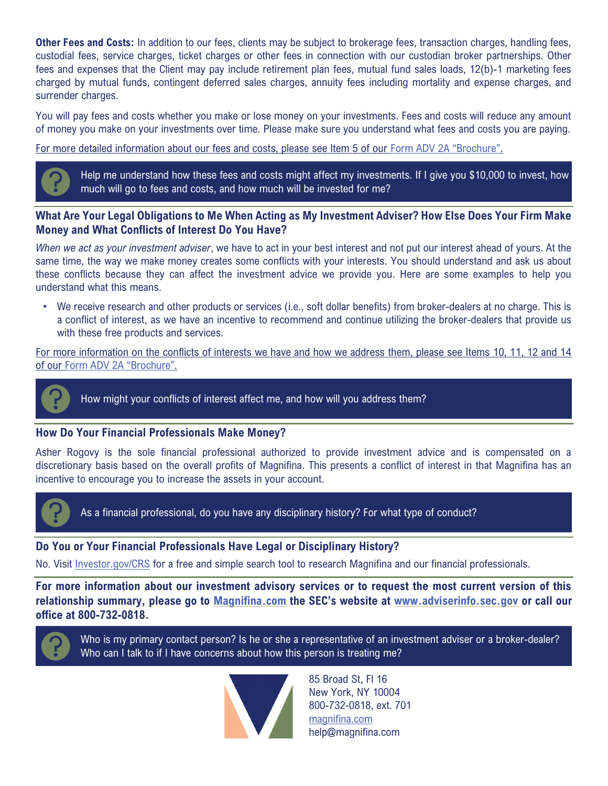Other Fees and Costs: In addition to our fees, clients may be subject to brokerage fees, transaction charges, handling fees, custodial fees, service charges, ticket charges or other fees in connection with our custodian broker partnerships. Other fees and expenses that the Client may pay include retirement plan fees, mutual fund sales loads, 12(b)-1 marketing fees charged by mutual funds, contingent deferred sales charges, annuity fees including mortality and expense charges, and surrender charges.

You will pay fees and costs whether you make or lose money on your investments. Fees and costs will reduce any amount of money you make on your investments over time. Please make sure you understand what fees and costs you are paying.

For more detailed information about our fees and costs, please see Item 5 of our Form ADV 2A "Brochure".



#### What Are Your Legal Obligations to Me When Acting as My Investment Adviser? How Else Does Your Firm Make Money and What Conflicts of Interest Do You Have?

When we act as your investment adviser, we have to act in your best interest and not put our interest ahead of yours. At the same time, the way we make money creates some conflicts with your interests. You should understand and ask us about these conflicts because they can affect the investment advice we provide you. Here are some examples to help you understand what this means.

• We receive research and other products or services (i.e., soft dollar benefits) from broker-dealers at no charge. This is a conflict of interest, as we have an incentive to recommend and continue utilizing the broker-dealers that provide us with these free products and services.

For more information on the conflicts of interests we have and how we address them, please see Items 10, 11, 12 and 14 of our Form ADV 2A "Brochure".



How might your conflicts of interest affect me, and how will you address them?

#### How Do Your Financial Professionals Make Money?

Asher Rogovy is the sole financial professional authorized to provide investment advice and is compensated on a discretionary basis based on the overall profits of Magnifina. This presents a conflict of interest in that Magnifina has an incentive to encourage you to increase the assets in your account.



As a financial professional, do you have any disciplinary history? For what type of conduct?

#### Do You or Your Financial Professionals Have Legal or Disciplinary History?

No. Visit Investor.gov/CRS for a free and simple search tool to research Magnifina and our financial professionals.

For more information about our investment advisory services or to request the most current version of this relationship summary, please go to Magnifina.com the SEC's website at www.adviserinfo.sec.gov or call our office at 800-732-0818.



Who is my primary contact person? Is he or she a representative of an investment adviser or a broker-dealer? Who can I talk to if I have concerns about how this person is treating me?



85 Broad St, Fl 16 New York, NY 10004 800-732-0818, ext. 701 magnifina.com help@magnifina.com